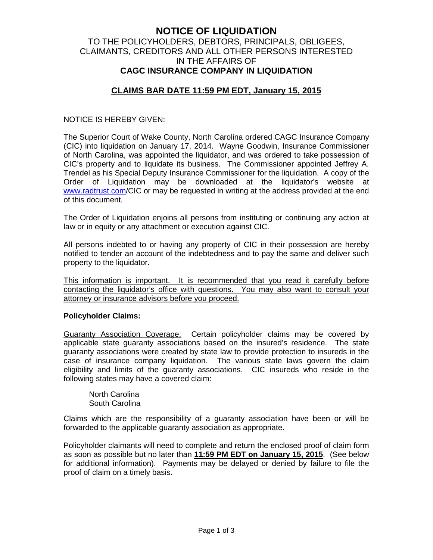# **NOTICE OF LIQUIDATION** TO THE POLICYHOLDERS, DEBTORS, PRINCIPALS, OBLIGEES, CLAIMANTS, CREDITORS AND ALL OTHER PERSONS INTERESTED IN THE AFFAIRS OF **CAGC INSURANCE COMPANY IN LIQUIDATION**

# **CLAIMS BAR DATE 11:59 PM EDT, January 15, 2015**

#### NOTICE IS HEREBY GIVEN:

The Superior Court of Wake County, North Carolina ordered CAGC Insurance Company (CIC) into liquidation on January 17, 2014. Wayne Goodwin, Insurance Commissioner of North Carolina, was appointed the liquidator, and was ordered to take possession of CIC's property and to liquidate its business. The Commissioner appointed Jeffrey A. Trendel as his Special Deputy Insurance Commissioner for the liquidation. A copy of the Order of Liquidation may be downloaded at the liquidator's website at www.radtrust.com/CIC or may be requested in writing at the address provided at the end of this document.

The Order of Liquidation enjoins all persons from instituting or continuing any action at law or in equity or any attachment or execution against CIC.

All persons indebted to or having any property of CIC in their possession are hereby notified to tender an account of the indebtedness and to pay the same and deliver such property to the liquidator.

This information is important. It is recommended that you read it carefully before contacting the liquidator's office with questions. You may also want to consult your attorney or insurance advisors before you proceed.

#### **Policyholder Claims:**

Guaranty Association Coverage: Certain policyholder claims may be covered by applicable state guaranty associations based on the insured's residence. The state guaranty associations were created by state law to provide protection to insureds in the case of insurance company liquidation. The various state laws govern the claim eligibility and limits of the guaranty associations. CIC insureds who reside in the following states may have a covered claim:

North Carolina South Carolina

Claims which are the responsibility of a guaranty association have been or will be forwarded to the applicable guaranty association as appropriate.

Policyholder claimants will need to complete and return the enclosed proof of claim form as soon as possible but no later than **11:59 PM EDT on January 15, 2015**. (See below for additional information). Payments may be delayed or denied by failure to file the proof of claim on a timely basis.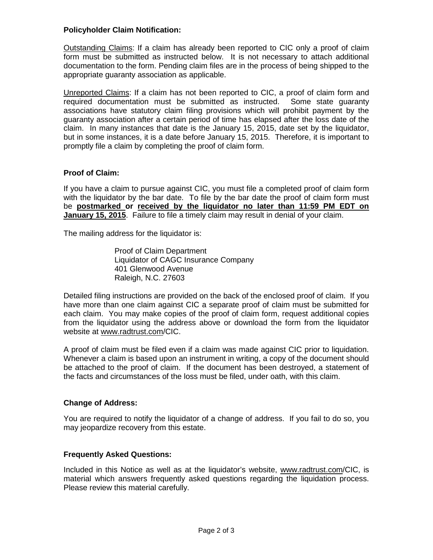## **Policyholder Claim Notification:**

Outstanding Claims: If a claim has already been reported to CIC only a proof of claim form must be submitted as instructed below. It is not necessary to attach additional documentation to the form. Pending claim files are in the process of being shipped to the appropriate guaranty association as applicable.

Unreported Claims: If a claim has not been reported to CIC, a proof of claim form and required documentation must be submitted as instructed. Some state guaranty associations have statutory claim filing provisions which will prohibit payment by the guaranty association after a certain period of time has elapsed after the loss date of the claim. In many instances that date is the January 15, 2015, date set by the liquidator, but in some instances, it is a date before January 15, 2015. Therefore, it is important to promptly file a claim by completing the proof of claim form.

### **Proof of Claim:**

If you have a claim to pursue against CIC, you must file a completed proof of claim form with the liquidator by the bar date. To file by the bar date the proof of claim form must be **postmarked or received by the liquidator no later than 11:59 PM EDT on January 15, 2015**. Failure to file a timely claim may result in denial of your claim.

The mailing address for the liquidator is:

Proof of Claim Department Liquidator of CAGC Insurance Company 401 Glenwood Avenue Raleigh, N.C. 27603

Detailed filing instructions are provided on the back of the enclosed proof of claim. If you have more than one claim against CIC a separate proof of claim must be submitted for each claim. You may make copies of the proof of claim form, request additional copies from the liquidator using the address above or download the form from the liquidator website at www.radtrust.com/CIC.

A proof of claim must be filed even if a claim was made against CIC prior to liquidation. Whenever a claim is based upon an instrument in writing, a copy of the document should be attached to the proof of claim. If the document has been destroyed, a statement of the facts and circumstances of the loss must be filed, under oath, with this claim.

#### **Change of Address:**

You are required to notify the liquidator of a change of address. If you fail to do so, you may jeopardize recovery from this estate.

## **Frequently Asked Questions:**

Included in this Notice as well as at the liquidator's website, www.radtrust.com/CIC, is material which answers frequently asked questions regarding the liquidation process. Please review this material carefully.